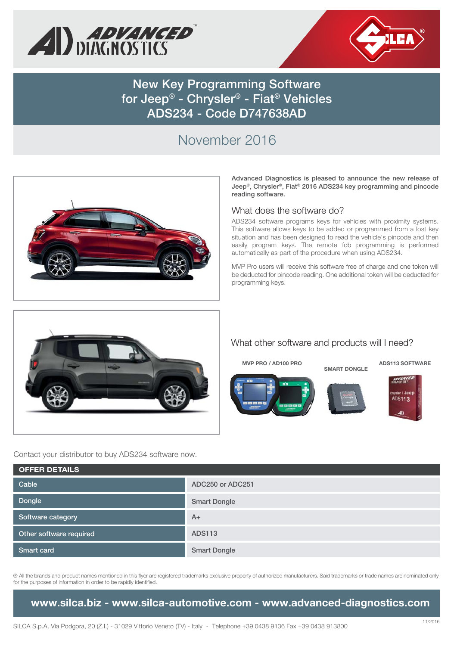



**New Key Programming Software for Jeep® - Chrysler® - Fiat® Vehicles ADS234 - Code D747638AD**

# November 2016



**Advanced Diagnostics is pleased to announce the new release of Jeep®, Chrysler®, Fiat® 2016 ADS234 key programming and pincode reading software.**

#### What does the software do?

ADS234 software programs keys for vehicles with proximity systems. This software allows keys to be added or programmed from a lost key situation and has been designed to read the vehicle's pincode and then easily program keys. The remote fob programming is performed automatically as part of the procedure when using ADS234.

MVP Pro users will receive this software free of charge and one token will be deducted for pincode reading. One additional token will be deducted for programming keys.



#### What other software and products will I need?

**MVP PRO / AD100 PRO**







**ADS113 SOFTWARE**

Contact your distributor to buy ADS234 software now.

| <b>OFFER DETAILS</b>    |                     |
|-------------------------|---------------------|
| Cable                   | ADC250 or ADC251    |
| Dongle                  | <b>Smart Dongle</b> |
| Software category       | $A+$                |
| Other software required | <b>ADS113</b>       |
| Smart card              | <b>Smart Dongle</b> |

® All the brands and product names mentioned in this flyer are registered trademarks exclusive property of authorized manufacturers. Said trademarks or trade names are nominated only for the purposes of information in order to be rapidly identified.

### **www.silca.biz - www.silca-automotive.com - www.advanced-diagnostics.com**